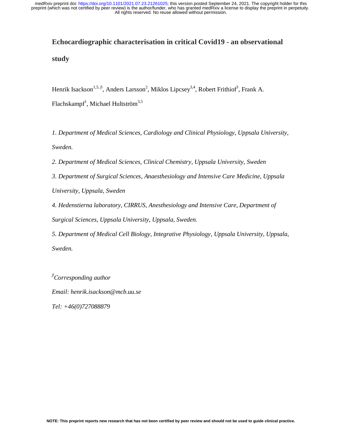# **Echocardiographic characterisation in critical Covid19 - an observational study**

Henrik Isackson<sup>1,5, β</sup>, Anders Larsson<sup>2</sup>, Miklos Lipcsey<sup>3,4</sup>, Robert Frithiof<sup>3</sup>, Frank A. Flachskampf<sup>1</sup>, Michael Hultström<sup>3,5</sup>

*1. Department of Medical Sciences, Cardiology and Clinical Physiology, Uppsala University, Sweden.* 

*2. Department of Medical Sciences, Clinical Chemistry, Uppsala University, Sweden* 

*3. Department of Surgical Sciences, Anaesthesiology and Intensive Care Medicine, Uppsala University, Uppsala, Sweden* 

*4. Hedenstierna laboratory, CIRRUS, Anesthesiology and Intensive Care, Department of Surgical Sciences, Uppsala University, Uppsala, Sweden.* 

*5. Department of Medical Cell Biology, Integrative Physiology, Uppsala University, Uppsala, Sweden.* 

β *Corresponding author Email: henrik.isackson@mcb.uu.se* 

*Tel: +46(0)727088879*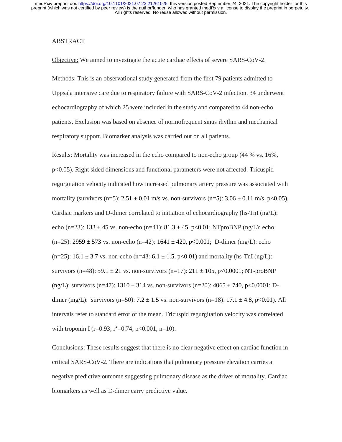## ABSTRACT

Objective: We aimed to investigate the acute cardiac effects of severe SARS-CoV-2.

Methods: This is an observational study generated from the first 79 patients admitted to Uppsala intensive care due to respiratory failure with SARS-CoV-2 infection. 34 underwent echocardiography of which 25 were included in the study and compared to 44 non-echo patients. Exclusion was based on absence of normofrequent sinus rhythm and mechanical respiratory support. Biomarker analysis was carried out on all patients.

Results: Mortality was increased in the echo compared to non-echo group (44 % vs. 16%, p<0.05). Right sided dimensions and functional parameters were not affected. Tricuspid regurgitation velocity indicated how increased pulmonary artery pressure was associated with mortality (survivors (n=5):  $2.51 \pm 0.01$  m/s vs. non-survivors (n=5):  $3.06 \pm 0.11$  m/s, p<0.05). Cardiac markers and D-dimer correlated to initiation of echocardiography (hs-TnI (ng/L): echo (n=23):  $133 \pm 45$  vs. non-echo (n=41):  $81.3 \pm 45$ , p<0.01; NTproBNP (ng/L): echo  $(n=25)$ : 2959  $\pm$  573 vs. non-echo (n=42): 1641  $\pm$  420, p<0.001; D-dimer (mg/L): echo (n=25): 16.1  $\pm$  3.7 vs. non-echo (n=43: 6.1  $\pm$  1.5, p<0.01) and mortality (hs-TnI (ng/L): survivors (n=48): 59.1  $\pm$  21 vs. non-survivors (n=17): 211  $\pm$  105, p<0.0001; NT-proBNP (ng/L): survivors (n=47):  $1310 \pm 314$  vs. non-survivors (n=20):  $4065 \pm 740$ , p<0.0001; Ddimer (mg/L): survivors (n=50):  $7.2 \pm 1.5$  vs. non-survivors (n=18):  $17.1 \pm 4.8$ , p<0.01). All intervals refer to standard error of the mean. Tricuspid regurgitation velocity was correlated with troponin I (r=0.93, r<sup>2</sup>=0.74, p<0.001, n=10).

Conclusions: These results suggest that there is no clear negative effect on cardiac function in critical SARS-CoV-2. There are indications that pulmonary pressure elevation carries a negative predictive outcome suggesting pulmonary disease as the driver of mortality. Cardiac biomarkers as well as D-dimer carry predictive value.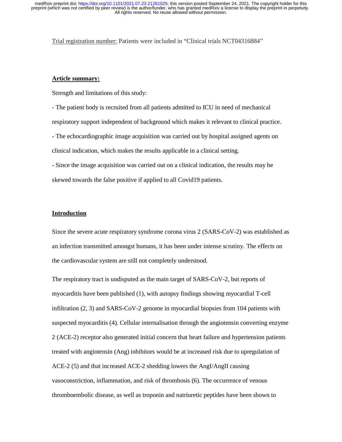Trial registration number: Patients were included in "Clinical trials NCT04316884"

## **Article summary:**

Strength and limitations of this study:

- The patient body is recruited from all patients admitted to ICU in need of mechanical respiratory support independent of background which makes it relevant to clinical practice. - The echocardiographic image acquisition was carried out by hospital assigned agents on clinical indication, which makes the results applicable in a clinical setting.

- Since the image acquisition was carried out on a clinical indication, the results may be skewed towards the false positive if applied to all Covid19 patients.

# **Introduction**

Since the severe acute respiratory syndrome corona virus 2 (SARS-CoV-2) was established as an infection transmitted amongst humans, it has been under intense scrutiny. The effects on the cardiovascular system are still not completely understood.

The respiratory tract is undisputed as the main target of SARS-CoV-2, but reports of myocarditis have been published (1), with autopsy findings showing myocardial T-cell infiltration (2, 3) and SARS-CoV-2 genome in myocardial biopsies from 104 patients with suspected myocarditis (4). Cellular internalisation through the angiotensin converting enzyme 2 (ACE-2) receptor also generated initial concern that heart failure and hypertension patients treated with angiotensin (Ang) inhibitors would be at increased risk due to upregulation of ACE-2 (5) and that increased ACE-2 shedding lowers the AngI/AngII causing vasoconstriction, inflammation, and risk of thrombosis (6). The occurrence of venous thromboembolic disease, as well as troponin and natriuretic peptides have been shown to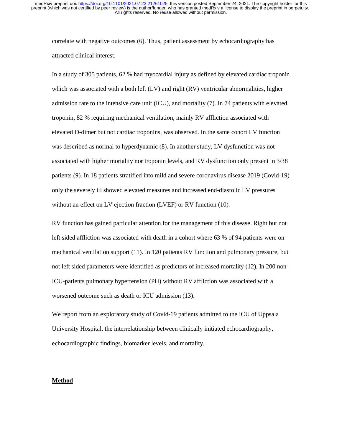correlate with negative outcomes (6). Thus, patient assessment by echocardiography has attracted clinical interest.

In a study of 305 patients, 62 % had myocardial injury as defined by elevated cardiac troponin which was associated with a both left (LV) and right (RV) ventricular abnormalities, higher admission rate to the intensive care unit (ICU), and mortality (7). In 74 patients with elevated troponin, 82 % requiring mechanical ventilation, mainly RV affliction associated with elevated D-dimer but not cardiac troponins, was observed. In the same cohort LV function was described as normal to hyperdynamic (8). In another study, LV dysfunction was not associated with higher mortality nor troponin levels, and RV dysfunction only present in 3/38 patients (9). In 18 patients stratified into mild and severe coronavirus disease 2019 (Covid-19) only the severely ill showed elevated measures and increased end-diastolic LV pressures without an effect on LV ejection fraction (LVEF) or RV function (10).

RV function has gained particular attention for the management of this disease. Right but not left sided affliction was associated with death in a cohort where 63 % of 94 patients were on mechanical ventilation support (11). In 120 patients RV function and pulmonary pressure, but not left sided parameters were identified as predictors of increased mortality (12). In 200 non-ICU-patients pulmonary hypertension (PH) without RV affliction was associated with a worsened outcome such as death or ICU admission (13).

We report from an exploratory study of Covid-19 patients admitted to the ICU of Uppsala University Hospital, the interrelationship between clinically initiated echocardiography, echocardiographic findings, biomarker levels, and mortality.

## **Method**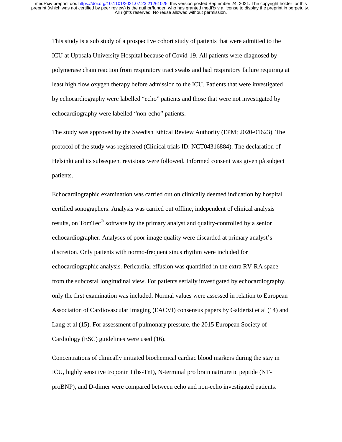This study is a sub study of a prospective cohort study of patients that were admitted to the ICU at Uppsala University Hospital because of Covid-19. All patients were diagnosed by polymerase chain reaction from respiratory tract swabs and had respiratory failure requiring at least high flow oxygen therapy before admission to the ICU. Patients that were investigated by echocardiography were labelled "echo" patients and those that were not investigated by echocardiography were labelled "non-echo" patients.

The study was approved by the Swedish Ethical Review Authority (EPM; 2020-01623). The protocol of the study was registered (Clinical trials ID: NCT04316884). The declaration of Helsinki and its subsequent revisions were followed. Informed consent was given på subject patients.

Echocardiographic examination was carried out on clinically deemed indication by hospital certified sonographers. Analysis was carried out offline, independent of clinical analysis results, on TomTec® software by the primary analyst and quality-controlled by a senior echocardiographer. Analyses of poor image quality were discarded at primary analyst's discretion. Only patients with normo-frequent sinus rhythm were included for echocardiographic analysis. Pericardial effusion was quantified in the extra RV-RA space from the subcostal longitudinal view. For patients serially investigated by echocardiography, only the first examination was included. Normal values were assessed in relation to European Association of Cardiovascular Imaging (EACVI) consensus papers by Galderisi et al (14) and Lang et al (15). For assessment of pulmonary pressure, the 2015 European Society of Cardiology (ESC) guidelines were used (16).

Concentrations of clinically initiated biochemical cardiac blood markers during the stay in ICU, highly sensitive troponin I (hs-TnI), N-terminal pro brain natriuretic peptide (NTproBNP), and D-dimer were compared between echo and non-echo investigated patients.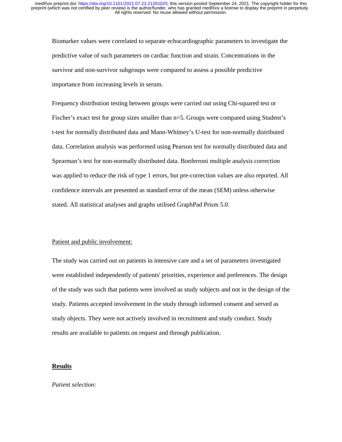Biomarker values were correlated to separate echocardiographic parameters to investigate the predictive value of such parameters on cardiac function and strain. Concentrations in the survivor and non-survivor subgroups were compared to assess a possible predictive importance from increasing levels in serum.

Frequency distribution testing between groups were carried out using Chi-squared test or Fischer's exact test for group sizes smaller than n=5. Groups were compared using Student's t-test for normally distributed data and Mann-Whitney's U-test for non-normally distributed data. Correlation analysis was performed using Pearson test for normally distributed data and Spearman's test for non-normally distributed data. Bonferroni multiple analysis correction was applied to reduce the risk of type 1 errors, but pre-correction values are also reported. All confidence intervals are presented as standard error of the mean (SEM) unless otherwise stated. All statistical analyses and graphs utilised GraphPad Prism 5.0.

## Patient and public involvement:

The study was carried out on patients in intensive care and a set of parameters investigated were established independently of patients' priorities, experience and preferences. The design of the study was such that patients were involved as study subjects and not in the design of the study. Patients accepted involvement in the study through informed consent and served as study objects. They were not actively involved in recruitment and study conduct. Study results are available to patients on request and through publication.

## **Results**

#### *Patient selection:*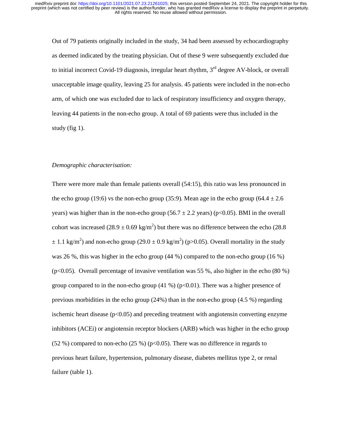Out of 79 patients originally included in the study, 34 had been assessed by echocardiography as deemed indicated by the treating physician. Out of these 9 were subsequently excluded due to initial incorrect Covid-19 diagnosis, irregular heart rhythm, 3<sup>rd</sup> degree AV-block, or overall unacceptable image quality, leaving 25 for analysis. 45 patients were included in the non-echo arm, of which one was excluded due to lack of respiratory insufficiency and oxygen therapy, leaving 44 patients in the non-echo group. A total of 69 patients were thus included in the study (fig  $1$ ).

# *Demographic characterisation:*

There were more male than female patients overall (54:15), this ratio was less pronounced in the echo group (19:6) vs the non-echo group (35:9). Mean age in the echo group (64.4  $\pm$  2.6 years) was higher than in the non-echo group (56.7  $\pm$  2.2 years) (p<0.05). BMI in the overall cohort was increased  $(28.9 \pm 0.69 \text{ kg/m}^2)$  but there was no difference between the echo (28.8)  $\pm$  1.1 kg/m<sup>2</sup>) and non-echo group (29.0  $\pm$  0.9 kg/m<sup>2</sup>) (p>0.05). Overall mortality in the study was 26 %, this was higher in the echo group (44 %) compared to the non-echo group (16 %)  $(p<0.05)$ . Overall percentage of invasive ventilation was 55 %, also higher in the echo (80 %) group compared to in the non-echo group  $(41\%)$  (p<0.01). There was a higher presence of previous morbidities in the echo group (24%) than in the non-echo group (4.5 %) regarding ischemic heart disease  $(p<0.05)$  and preceding treatment with angiotensin converting enzyme inhibitors (ACEi) or angiotensin receptor blockers (ARB) which was higher in the echo group (52 %) compared to non-echo (25 %) ( $p<0.05$ ). There was no difference in regards to previous heart failure, hypertension, pulmonary disease, diabetes mellitus type 2, or renal failure (table 1).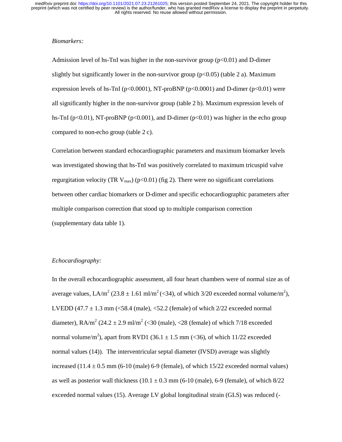## *Biomarkers:*

Admission level of hs-TnI was higher in the non-survivor group  $(p<0.01)$  and D-dimer slightly but significantly lower in the non-survivor group ( $p<0.05$ ) (table 2 a). Maximum expression levels of hs-TnI ( $p<0.0001$ ), NT-proBNP ( $p<0.0001$ ) and D-dimer ( $p<0.01$ ) were all significantly higher in the non-survivor group (table 2 b). Maximum expression levels of hs-TnI ( $p<0.01$ ), NT-proBNP ( $p<0.001$ ), and D-dimer ( $p<0.01$ ) was higher in the echo group compared to non-echo group (table 2 c).

Correlation between standard echocardiographic parameters and maximum biomarker levels was investigated showing that hs-TnI was positively correlated to maximum tricuspid valve regurgitation velocity (TR  $V_{\text{max}}$ ) (p<0.01) (fig 2). There were no significant correlations between other cardiac biomarkers or D-dimer and specific echocardiographic parameters after multiple comparison correction that stood up to multiple comparison correction (supplementary data table 1).

#### *Echocardiography:*

In the overall echocardiographic assessment, all four heart chambers were of normal size as of average values, LA/m<sup>2</sup> (23.8  $\pm$  1.61 ml/m<sup>2</sup> (<34), of which 3/20 exceeded normal volume/m<sup>2</sup>), LVEDD (47.7  $\pm$  1.3 mm (<58.4 (male), <52.2 (female) of which 2/22 exceeded normal diameter), RA/m<sup>2</sup> (24.2  $\pm$  2.9 ml/m<sup>2</sup> (<30 (male), <28 (female) of which 7/18 exceeded normal volume/m<sup>2</sup>), apart from RVD1 (36.1  $\pm$  1.5 mm (<36), of which 11/22 exceeded normal values (14)). The interventricular septal diameter (IVSD) average was slightly increased  $(11.4 \pm 0.5 \text{ mm}$  (6-10 (male) 6-9 (female), of which 15/22 exceeded normal values) as well as posterior wall thickness  $(10.1 \pm 0.3 \text{ mm}$  (6-10 (male), 6-9 (female), of which  $8/22$ exceeded normal values (15). Average LV global longitudinal strain (GLS) was reduced (-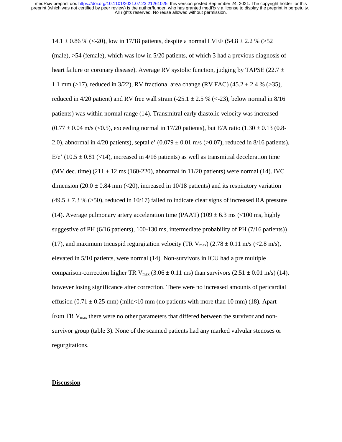14.1  $\pm$  0.86 % (<-20), low in 17/18 patients, despite a normal LVEF (54.8  $\pm$  2.2 % (>52) (male), >54 (female), which was low in 5/20 patients, of which 3 had a previous diagnosis of heart failure or coronary disease). Average RV systolic function, judging by TAPSE (22.7  $\pm$ 1.1 mm (>17), reduced in 3/22), RV fractional area change (RV FAC) (45.2  $\pm$  2.4 % (>35), reduced in 4/20 patient) and RV free wall strain (-25.1  $\pm$  2.5 % (<-23), below normal in 8/16 patients) was within normal range (14). Transmitral early diastolic velocity was increased  $(0.77 \pm 0.04 \text{ m/s } (<0.5)$ , exceeding normal in 17/20 patients), but E/A ratio  $(1.30 \pm 0.13 (0.8$ -2.0), abnormal in 4/20 patients), septal e'  $(0.079 \pm 0.01 \text{ m/s}$  (>0.07), reduced in 8/16 patients), E/e' (10.5  $\pm$  0.81 (<14), increased in 4/16 patients) as well as transmitral deceleration time (MV dec. time)  $(211 \pm 12 \text{ ms } (160{\text -}220)$ , abnormal in 11/20 patients) were normal (14). IVC dimension (20.0  $\pm$  0.84 mm (<20), increased in 10/18 patients) and its respiratory variation  $(49.5 \pm 7.3 \% (>50)$ , reduced in 10/17) failed to indicate clear signs of increased RA pressure (14). Average pulmonary artery acceleration time (PAAT) (109  $\pm$  6.3 ms (<100 ms, highly suggestive of PH (6/16 patients), 100-130 ms, intermediate probability of PH (7/16 patients)) (17), and maximum tricuspid regurgitation velocity (TR  $V_{\text{max}}$ ) (2.78  $\pm$  0.11 m/s (<2.8 m/s), elevated in 5/10 patients, were normal (14). Non-survivors in ICU had a pre multiple comparison-correction higher TR  $V_{\text{max}}$  (3.06  $\pm$  0.11 ms) than survivors (2.51  $\pm$  0.01 m/s) (14), however losing significance after correction. There were no increased amounts of pericardial effusion  $(0.71 \pm 0.25 \text{ mm})$  (mild < 10 mm (no patients with more than 10 mm) (18). Apart from TR  $V_{\text{max}}$  there were no other parameters that differed between the survivor and nonsurvivor group (table 3). None of the scanned patients had any marked valvular stenoses or regurgitations.

#### **Discussion**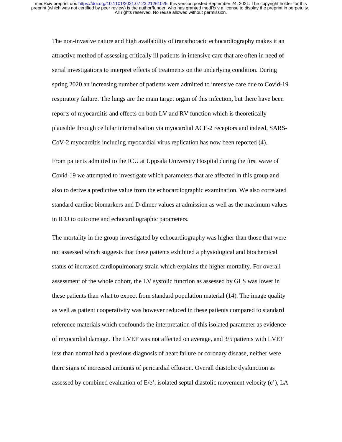The non-invasive nature and high availability of transthoracic echocardiography makes it an attractive method of assessing critically ill patients in intensive care that are often in need of serial investigations to interpret effects of treatments on the underlying condition. During spring 2020 an increasing number of patients were admitted to intensive care due to Covid-19 respiratory failure. The lungs are the main target organ of this infection, but there have been reports of myocarditis and effects on both LV and RV function which is theoretically plausible through cellular internalisation via myocardial ACE-2 receptors and indeed, SARS-CoV-2 myocarditis including myocardial virus replication has now been reported (4).

From patients admitted to the ICU at Uppsala University Hospital during the first wave of Covid-19 we attempted to investigate which parameters that are affected in this group and also to derive a predictive value from the echocardiographic examination. We also correlated standard cardiac biomarkers and D-dimer values at admission as well as the maximum values in ICU to outcome and echocardiographic parameters.

The mortality in the group investigated by echocardiography was higher than those that were not assessed which suggests that these patients exhibited a physiological and biochemical status of increased cardiopulmonary strain which explains the higher mortality. For overall assessment of the whole cohort, the LV systolic function as assessed by GLS was lower in these patients than what to expect from standard population material (14). The image quality as well as patient cooperativity was however reduced in these patients compared to standard reference materials which confounds the interpretation of this isolated parameter as evidence of myocardial damage. The LVEF was not affected on average, and 3/5 patients with LVEF less than normal had a previous diagnosis of heart failure or coronary disease, neither were there signs of increased amounts of pericardial effusion. Overall diastolic dysfunction as assessed by combined evaluation of E/e', isolated septal diastolic movement velocity (e'), LA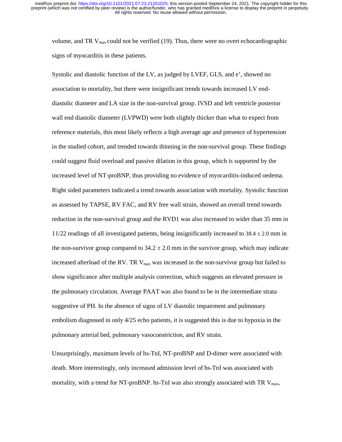volume, and TR  $V_{\text{max}}$  could not be verified (19). Thus, there were no overt echocardiographic signs of myocarditis in these patients.

Systolic and diastolic function of the LV, as judged by LVEF, GLS, and e', showed no association to mortality, but there were insignificant trends towards increased LV enddiastolic diameter and LA size in the non-survival group. IVSD and left ventricle posterior wall end diastolic diameter (LVPWD) were both slightly thicker than what to expect from reference materials, this most likely reflects a high average age and presence of hypertension in the studied cohort, and trended towards thinning in the non-survival group. These findings could suggest fluid overload and passive dilation in this group, which is supported by the increased level of NT-proBNP, thus providing no evidence of myocarditis-induced oedema. Right sided parameters indicated a trend towards association with mortality. Systolic function as assessed by TAPSE, RV FAC, and RV free wall strain, showed an overall trend towards reduction in the non-survival group and the RVD1 was also increased to wider than 35 mm in  $11/22$  readings of all investigated patients, being insignificantly increased to  $38.4 \pm 2.0$  mm in the non-survivor group compared to  $34.2 \pm 2.0$  mm in the survivor group, which may indicate increased afterload of the RV. TR  $V_{\text{max}}$  was increased in the non-survivor group but failed to show significance after multiple analysis correction, which suggests an elevated pressure in the pulmonary circulation. Average PAAT was also found to be in the intermediate strata suggestive of PH. In the absence of signs of LV diastolic impairment and pulmonary embolism diagnosed in only 4/25 echo patients, it is suggested this is due to hypoxia in the pulmonary arterial bed, pulmonary vasoconstriction, and RV strain.

Unsurprisingly, maximum levels of hs-TnI, NT-proBNP and D-dimer were associated with death. More interestingly, only increased admission level of hs-TnI was associated with mortality, with a trend for NT-proBNP. hs-TnI was also strongly associated with TR  $V_{\text{max}}$ ,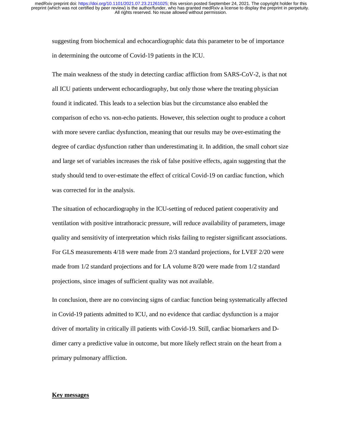suggesting from biochemical and echocardiographic data this parameter to be of importance in determining the outcome of Covid-19 patients in the ICU.

The main weakness of the study in detecting cardiac affliction from SARS-CoV-2, is that not all ICU patients underwent echocardiography, but only those where the treating physician found it indicated. This leads to a selection bias but the circumstance also enabled the comparison of echo vs. non-echo patients. However, this selection ought to produce a cohort with more severe cardiac dysfunction, meaning that our results may be over-estimating the degree of cardiac dysfunction rather than underestimating it. In addition, the small cohort size and large set of variables increases the risk of false positive effects, again suggesting that the study should tend to over-estimate the effect of critical Covid-19 on cardiac function, which was corrected for in the analysis.

The situation of echocardiography in the ICU-setting of reduced patient cooperativity and ventilation with positive intrathoracic pressure, will reduce availability of parameters, image quality and sensitivity of interpretation which risks failing to register significant associations. For GLS measurements 4/18 were made from 2/3 standard projections, for LVEF 2/20 were made from 1/2 standard projections and for LA volume 8/20 were made from 1/2 standard projections, since images of sufficient quality was not available.

In conclusion, there are no convincing signs of cardiac function being systematically affected in Covid-19 patients admitted to ICU, and no evidence that cardiac dysfunction is a major driver of mortality in critically ill patients with Covid-19. Still, cardiac biomarkers and Ddimer carry a predictive value in outcome, but more likely reflect strain on the heart from a primary pulmonary affliction.

## **Key messages**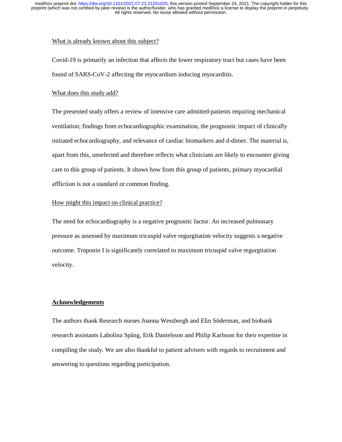#### What is already known about this subject?

Covid-19 is primarily an infection that affects the lower respiratory tract but cases have been found of SARS-CoV-2 affecting the myocardium inducing myocarditis.

## What does this study add?

The presented study offers a review of intensive care admitted-patients requiring mechanical ventilation; findings from echocardiographic examination, the prognostic impact of clinically initiated echocardiography, and relevance of cardiac biomarkers and d-dimer. The material is, apart from this, unselected and therefore reflects what clinicians are likely to encounter giving care to this group of patients. It shows how from this group of patients, primary myocardial affliction is not a standard or common finding.

# How might this impact on clinical practice?

The need for echocardiography is a negative prognostic factor. An increased pulmonary pressure as assessed by maximum tricuspid valve regurgitation velocity suggests a negative outcome. Troponin I is significantly correlated to maximum tricuspid valve regurgitation velocity.

# **Acknowledgements**

The authors thank Research nurses Joanna Wessbergh and Elin Söderman, and biobank research assistants Labolina Spång, Erik Danielsson and Philip Karlsson for their expertise in compiling the study. We are also thankful to patient advisers with regards to recruitment and answering to questions regarding participation.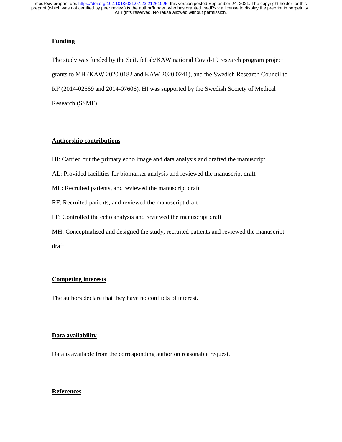# **Funding**

The study was funded by the SciLifeLab/KAW national Covid-19 research program project grants to MH (KAW 2020.0182 and KAW 2020.0241), and the Swedish Research Council to RF (2014-02569 and 2014-07606). HI was supported by the Swedish Society of Medical Research (SSMF).

## **Authorship contributions**

- HI: Carried out the primary echo image and data analysis and drafted the manuscript
- AL: Provided facilities for biomarker analysis and reviewed the manuscript draft
- ML: Recruited patients, and reviewed the manuscript draft
- RF: Recruited patients, and reviewed the manuscript draft
- FF: Controlled the echo analysis and reviewed the manuscript draft
- MH: Conceptualised and designed the study, recruited patients and reviewed the manuscript draft

# **Competing interests**

The authors declare that they have no conflicts of interest.

## **Data availability**

Data is available from the corresponding author on reasonable request.

# **References**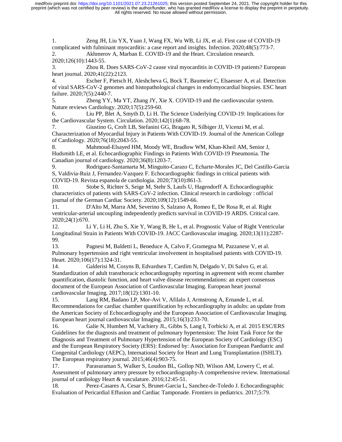1. Zeng JH, Liu YX, Yuan J, Wang FX, Wu WB, Li JX, et al. First case of COVID-19 complicated with fulminant myocarditis: a case report and insights. Infection. 2020;48(5):773-7. 2. Akhmerov A, Marban E. COVID-19 and the Heart. Circulation research.

2020;126(10):1443-55.

3. Zhou R. Does SARS-CoV-2 cause viral myocarditis in COVID-19 patients? European heart journal. 2020;41(22):2123.

4. Escher F, Pietsch H, Aleshcheva G, Bock T, Baumeier C, Elsaesser A, et al. Detection of viral SARS-CoV-2 genomes and histopathological changes in endomyocardial biopsies. ESC heart failure. 2020;7(5):2440-7.

5. Zheng YY, Ma YT, Zhang JY, Xie X. COVID-19 and the cardiovascular system. Nature reviews Cardiology. 2020;17(5):259-60.

6. Liu PP, Blet A, Smyth D, Li H. The Science Underlying COVID-19: Implications for the Cardiovascular System. Circulation. 2020;142(1):68-78.

7. Giustino G, Croft LB, Stefanini GG, Bragato R, Silbiger JJ, Vicenzi M, et al. Characterization of Myocardial Injury in Patients With COVID-19. Journal of the American College of Cardiology. 2020;76(18):2043-55.

8. Mahmoud-Elsayed HM, Moody WE, Bradlow WM, Khan-Kheil AM, Senior J, Hudsmith LE, et al. Echocardiographic Findings in Patients With COVID-19 Pneumonia. The Canadian journal of cardiology. 2020;36(8):1203-7.

9. Rodriguez-Santamarta M, Minguito-Carazo C, Echarte-Morales JC, Del Castillo-Garcia S, Valdivia-Ruiz J, Fernandez-Vazquez F. Echocardiographic findings in critical patients with COVID-19. Revista espanola de cardiologia. 2020;73(10):861-3.

10. Stobe S, Richter S, Seige M, Stehr S, Laufs U, Hagendorff A. Echocardiographic characteristics of patients with SARS-CoV-2 infection. Clinical research in cardiology : official journal of the German Cardiac Society. 2020;109(12):1549-66.

11. D'Alto M, Marra AM, Severino S, Salzano A, Romeo E, De Rosa R, et al. Right ventricular-arterial uncoupling independently predicts survival in COVID-19 ARDS. Critical care. 2020;24(1):670.

12. Li Y, Li H, Zhu S, Xie Y, Wang B, He L, et al. Prognostic Value of Right Ventricular Longitudinal Strain in Patients With COVID-19. JACC Cardiovascular imaging. 2020;13(11):2287- 99.

13. Pagnesi M, Baldetti L, Beneduce A, Calvo F, Gramegna M, Pazzanese V, et al. Pulmonary hypertension and right ventricular involvement in hospitalised patients with COVID-19. Heart. 2020;106(17):1324-31.

14. Galderisi M, Cosyns B, Edvardsen T, Cardim N, Delgado V, Di Salvo G, et al. Standardization of adult transthoracic echocardiography reporting in agreement with recent chamber quantification, diastolic function, and heart valve disease recommendations: an expert consensus document of the European Association of Cardiovascular Imaging. European heart journal cardiovascular Imaging. 2017;18(12):1301-10.

15. Lang RM, Badano LP, Mor-Avi V, Afilalo J, Armstrong A, Ernande L, et al. Recommendations for cardiac chamber quantification by echocardiography in adults: an update from the American Society of Echocardiography and the European Association of Cardiovascular Imaging. European heart journal cardiovascular Imaging. 2015;16(3):233-70.

16. Galie N, Humbert M, Vachiery JL, Gibbs S, Lang I, Torbicki A, et al. 2015 ESC/ERS Guidelines for the diagnosis and treatment of pulmonary hypertension: The Joint Task Force for the Diagnosis and Treatment of Pulmonary Hypertension of the European Society of Cardiology (ESC) and the European Respiratory Society (ERS): Endorsed by: Association for European Paediatric and Congenital Cardiology (AEPC), International Society for Heart and Lung Transplantation (ISHLT). The European respiratory journal. 2015;46(4):903-75.

17. Parasuraman S, Walker S, Loudon BL, Gollop ND, Wilson AM, Lowery C, et al. Assessment of pulmonary artery pressure by echocardiography-A comprehensive review. International journal of cardiology Heart & vasculature. 2016;12:45-51.

18. Perez-Casares A, Cesar S, Brunet-Garcia L, Sanchez-de-Toledo J. Echocardiographic Evaluation of Pericardial Effusion and Cardiac Tamponade. Frontiers in pediatrics. 2017;5:79.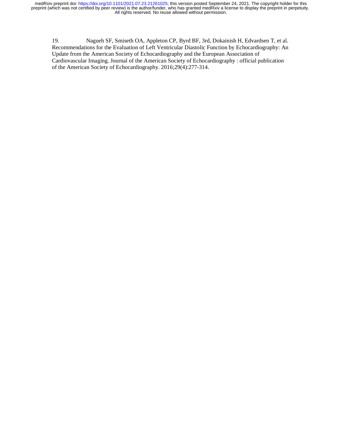19. Nagueh SF, Smiseth OA, Appleton CP, Byrd BF, 3rd, Dokainish H, Edvardsen T, et al. Recommendations for the Evaluation of Left Ventricular Diastolic Function by Echocardiography: An Update from the American Society of Echocardiography and the European Association of Cardiovascular Imaging. Journal of the American Society of Echocardiography : official publication of the American Society of Echocardiography. 2016;29(4):277-314.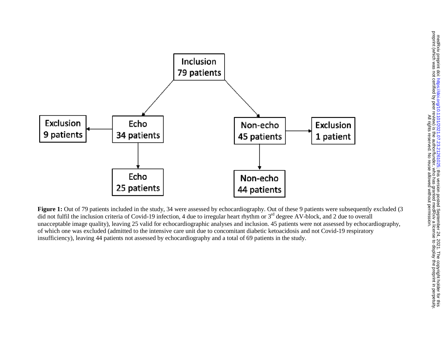

**Figure 1:** Out of 79 patients included in the study, 34 were assessed by echocardiography. Out of these 9 patients were subsequently excluded (3) did not fulfil the inclusion criteria of Covid-19 infection, 4 due to irregular heart rhythm or 3<sup>rd</sup> degree AV-block, and 2 due to overall unacceptable image quality), leaving 25 valid for echocardiographic analyses and inclusion. 45 patients were not assessed by echocardiography, of which one was excluded (admitted to the intensive care unit due to concomitant diabetic ketoacidosis and not Covid-19 respiratory insufficiency), leaving 44 patients not assessed by echocardiography and a total of 69 patients in the study.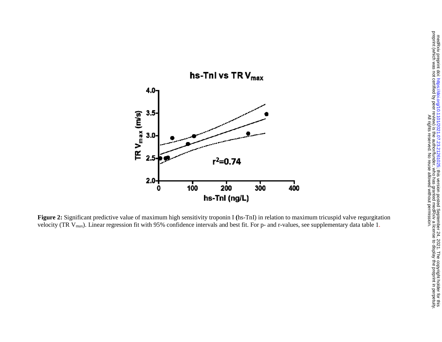

**Figure 2:** Significant predictive value of maximum high sensitivity troponin I (hs-TnI) in relation to maximum tricuspid valve regurgitation velocity (TR  $V_{\text{max}}$ ). Linear regression fit with 95% confidence intervals and best fit. For p- and r-values, see supplementary data table 1.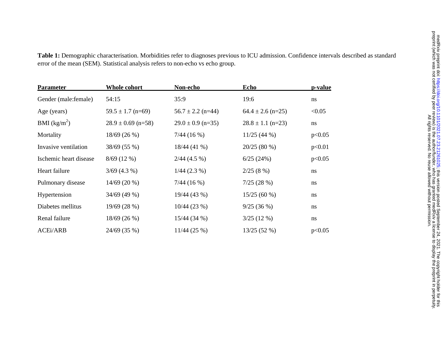| <b>Parameter</b>       | Whole cohort           | Non-echo              | Echo                  | p-value |
|------------------------|------------------------|-----------------------|-----------------------|---------|
| Gender (male: female)  | 54:15                  | 35:9                  | 19:6                  | ns      |
| Age (years)            | $59.5 \pm 1.7$ (n=69)  | $56.7 \pm 2.2$ (n=44) | $64.4 \pm 2.6$ (n=25) | < 0.05  |
| BMI $(kg/m^2)$         | $28.9 \pm 0.69$ (n=58) | $29.0 \pm 0.9$ (n=35) | $28.8 \pm 1.1$ (n=23) | ns      |
| Mortality              | 18/69(26%)             | 7/44(16%)             | 11/25(44%)            | p<0.05  |
| Invasive ventilation   | 38/69 (55 %)           | 18/44(41%             | 20/25(80%)            | p<0.01  |
| Ischemic heart disease | $8/69(12\%)$           | $2/44$ (4.5 %)        | 6/25(24%)             | p<0.05  |
| Heart failure          | $3/69$ (4.3 %)         | $1/44$ (2.3 %)        | 2/25(8%)              | ns      |
| Pulmonary disease      | $14/69(20\%)$          | 7/44(16%)             | 7/25(28%)             | ns      |
| Hypertension           | 34/69(49%)             | 19/44 (43 %)          | 15/25(60%)            | ns      |
| Diabetes mellitus      | 19/69 (28 %)           | 10/44(23%)            | 9/25(36%)             | ns      |
| Renal failure          | 18/69(26%)             | 15/44 (34 %)          | $3/25(12\%)$          | ns      |
| <b>ACEi/ARB</b>        | 24/69 (35 %)           | $11/44$ (25 %)        | 13/25 (52 %)          | p<0.05  |

**Table 1:** Demographic characterisation. Morbidities refer to diagnoses previous to ICU admission. Confidence intervals described as standard error of the mean (SEM). Statistical analysis refers to non-echo vs echo group.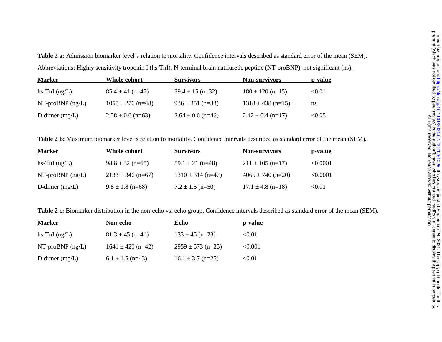**Table 2 a:** Admission biomarker level's relation to mortality. Confidence intervals described as standard error of the mean (SEM). Abbreviations: Highly sensitivity troponin I (hs-TnI), N-terminal brain natriuretic peptide (NT-proBNP), not significant (ns).

| <b>Marker</b>      | Whole cohort          | <b>Survivors</b>      | <b>Non-survivors</b>  | <u>p-value</u> |
|--------------------|-----------------------|-----------------------|-----------------------|----------------|
| hs-TnI $(ng/L)$    | $85.4 \pm 41$ (n=47)  | $39.4 \pm 15$ (n=32)  | $180 \pm 120$ (n=15)  | < 0.01         |
| NT-proBNP $(ng/L)$ | $1055 \pm 276$ (n=48) | $936 \pm 351$ (n=33)  | $1318 \pm 438$ (n=15) | ns             |
| D-dimer $(mg/L)$   | $2.58 \pm 0.6$ (n=63) | $2.64 \pm 0.6$ (n=46) | $2.42 \pm 0.4$ (n=17) | < 0.05         |

**Table 2 b:** Maximum biomarker level's relation to mortality. Confidence intervals described as standard error of the mean (SEM).

| <b>Marker</b>      | Whole cohort          | <b>Survivors</b>      | <b>Non-survivors</b>  | p-value  |
|--------------------|-----------------------|-----------------------|-----------------------|----------|
| hs-TnI $(ng/L)$    | $98.8 \pm 32$ (n=65)  | $59.1 \pm 21$ (n=48)  | $211 \pm 105$ (n=17)  | < 0.0001 |
| NT-proBNP $(ng/L)$ | $2133 \pm 346$ (n=67) | $1310 \pm 314$ (n=47) | $4065 \pm 740$ (n=20) | < 0.0001 |
| D-dimer $(mg/L)$   | $9.8 \pm 1.8$ (n=68)  | $7.2 \pm 1.5$ (n=50)  | $17.1 \pm 4.8$ (n=18) | < 0.01   |

**Table 2 c:** Biomarker distribution in the non-echo vs. echo group. Confidence intervals described as standard error of the mean (SEM).

| <b>Marker</b>      | Non-echo              | Echo                  | p-value |
|--------------------|-----------------------|-----------------------|---------|
| hs-TnI $(ng/L)$    | $81.3 \pm 45$ (n=41)  | $133 \pm 45$ (n=23)   | < 0.01  |
| $NT-proBNP$ (ng/L) | $1641 \pm 420$ (n=42) | $2959 \pm 573$ (n=25) | < 0.001 |
| D-dimer $(mg/L)$   | $6.1 \pm 1.5$ (n=43)  | $16.1 \pm 3.7$ (n=25) | < 0.01  |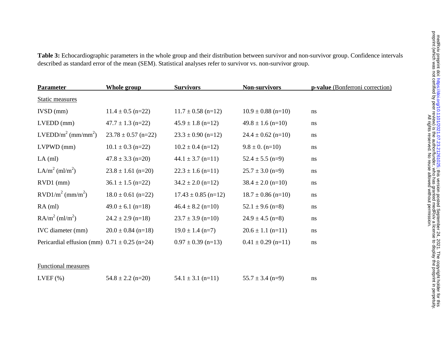| <b>Parameter</b>                                 | <b>Whole group</b>      | <b>Survivors</b>        | <b>Non-survivors</b>   | p-value (Bonferroni correction) |
|--------------------------------------------------|-------------------------|-------------------------|------------------------|---------------------------------|
| <b>Static measures</b>                           |                         |                         |                        |                                 |
| $IVSD$ (mm)                                      | $11.4 \pm 0.5$ (n=22)   | $11.7 \pm 0.58$ (n=12)  | $10.9 \pm 0.88$ (n=10) | ns                              |
| $LVEDD$ (mm)                                     | $47.7 \pm 1.3$ (n=22)   | $45.9 \pm 1.8$ (n=12)   | $49.8 \pm 1.6$ (n=10)  | ns                              |
| $LVEDD/m2 (mm/mm2)$                              | $23.78 \pm 0.57$ (n=22) | $23.3 \pm 0.90$ (n=12)  | $24.4 \pm 0.62$ (n=10) | ns                              |
| $LVPWD$ (mm)                                     | $10.1 \pm 0.3$ (n=22)   | $10.2 \pm 0.4$ (n=12)   | $9.8 \pm 0.$ (n=10)    | ns                              |
| $LA$ (ml)                                        | $47.8 \pm 3.3$ (n=20)   | $44.1 \pm 3.7$ (n=11)   | $52.4 \pm 5.5$ (n=9)   | ns                              |
| LA/m <sup>2</sup> (ml/m <sup>2</sup> )           | $23.8 \pm 1.61$ (n=20)  | $22.3 \pm 1.6$ (n=11)   | $25.7 \pm 3.0$ (n=9)   | ns                              |
| $RVD1$ (mm)                                      | $36.1 \pm 1.5$ (n=22)   | $34.2 \pm 2.0$ (n=12)   | $38.4 \pm 2.0$ (n=10)  | ns                              |
| $RVD1/m2$ (mm/m <sup>2</sup> )                   | $18.0 \pm 0.61$ (n=22)  | $17.43 \pm 0.85$ (n=12) | $18.7 \pm 0.86$ (n=10) | ns                              |
| $RA$ (ml)                                        | $49.0 \pm 6.1$ (n=18)   | $46.4 \pm 8.2$ (n=10)   | $52.1 \pm 9.6$ (n=8)   | ns                              |
| $\text{RA/m}^2 \text{ (ml/m}^2)$                 | $24.2 \pm 2.9$ (n=18)   | $23.7 \pm 3.9$ (n=10)   | $24.9 \pm 4.5$ (n=8)   | ns                              |
| IVC diameter (mm)                                | $20.0 \pm 0.84$ (n=18)  | $19.0 \pm 1.4$ (n=7)    | $20.6 \pm 1.1$ (n=11)  | ns                              |
| Pericardial effusion (mm) $0.71 \pm 0.25$ (n=24) |                         | $0.97 \pm 0.39$ (n=13)  | $0.41 \pm 0.29$ (n=11) | ns                              |
| <b>Functional measures</b>                       |                         |                         |                        |                                 |
| $LVEF$ $(\%)$                                    | $54.8 \pm 2.2$ (n=20)   | $54.1 \pm 3.1$ (n=11)   | $55.7 \pm 3.4$ (n=9)   | ns                              |

**Table 3:** Echocardiographic parameters in the whole group and their distribution between survivor and non-survivor group. Confidence intervals described as standard error of the mean (SEM). Statistical analyses refer to survivor vs. non-survivor group.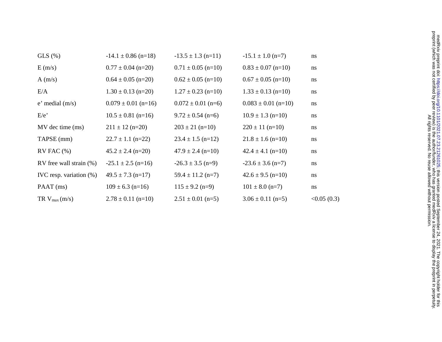| $GLS(\%)$                  | $-14.1 \pm 0.86$ (n=18) | $-13.5 \pm 1.3$ (n=11) | $-15.1 \pm 1.0$ (n=7)   | ns         |
|----------------------------|-------------------------|------------------------|-------------------------|------------|
| E(m/s)                     | $0.77 \pm 0.04$ (n=20)  | $0.71 \pm 0.05$ (n=10) | $0.83 \pm 0.07$ (n=10)  | ns         |
| A(m/s)                     | $0.64 \pm 0.05$ (n=20)  | $0.62 \pm 0.05$ (n=10) | $0.67 \pm 0.05$ (n=10)  | ns         |
| E/A                        | $1.30 \pm 0.13$ (n=20)  | $1.27 \pm 0.23$ (n=10) | $1.33 \pm 0.13$ (n=10)  | ns         |
| $e'$ medial $(m/s)$        | $0.079 \pm 0.01$ (n=16) | $0.072 \pm 0.01$ (n=6) | $0.083 \pm 0.01$ (n=10) | ns         |
| E/e                        | $10.5 \pm 0.81$ (n=16)  | $9.72 \pm 0.54$ (n=6)  | $10.9 \pm 1.3$ (n=10)   | ns         |
| MV dec time (ms)           | $211 \pm 12$ (n=20)     | $203 \pm 21$ (n=10)    | $220 \pm 11$ (n=10)     | ns         |
| TAPSE (mm)                 | $22.7 \pm 1.1$ (n=22)   | $23.4 \pm 1.5$ (n=12)  | $21.8 \pm 1.6$ (n=10)   | ns         |
| $RV$ FAC $(\%)$            | $45.2 \pm 2.4$ (n=20)   | $47.9 \pm 2.4$ (n=10)  | $42.4 \pm 4.1$ (n=10)   | ns         |
| RV free wall strain $(\%)$ | $-25.1 \pm 2.5$ (n=16)  | $-26.3 \pm 3.5$ (n=9)  | $-23.6 \pm 3.6$ (n=7)   | ns         |
| IVC resp. variation $(\%)$ | $49.5 \pm 7.3$ (n=17)   | $59.4 \pm 11.2$ (n=7)  | $42.6 \pm 9.5$ (n=10)   | ns         |
| PAAT (ms)                  | $109 \pm 6.3$ (n=16)    | $115 \pm 9.2$ (n=9)    | $101 \pm 8.0$ (n=7)     | ns         |
| $TR V_{max}(m/s)$          | $2.78 \pm 0.11$ (n=10)  | $2.51 \pm 0.01$ (n=5)  | $3.06 \pm 0.11$ (n=5)   | <0.05(0.3) |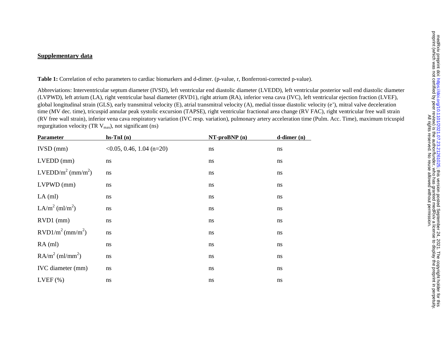# **Supplementary data**

**Table 1:** Correlation of echo parameters to cardiac biomarkers and d-dimer. (p-value, r, Bonferroni-corrected p-value).

Abbreviations: Interventricular septum diameter (IVSD), left ventricular end diastolic diameter (LVEDD), left ventricular posterior wall end diastolic diameter (LVPWD), left atrium (LA), right ventricular basal diameter (RVD1), right atrium (RA), inferior vena cava (IVC), left ventricular ejection fraction (LVEF), global longitudinal strain (GLS), early transmitral velocity (E), atrial transmitral velocity (A), medial tissue diastolic velocity (e'), mitral valve deceleration time (MV dec. time), tricuspid annular peak systolic excursion (TAPSE), right ventricular fractional area change (RV FAC), right ventricular free wall strain (RV free wall strain), inferior vena cava respiratory variation (IVC resp. variation), pulmonary artery acceleration time (Pulm. Acc. Time), maximum tricuspid regurgitation velocity (TR  $V_{max}$ ), not significant (ns)

| Parameter                         | $hs-ImI(n)$                     | $NT-proBNP(n)$ | $\mathbf{d}\text{-dimer}(\mathbf{n})$ |
|-----------------------------------|---------------------------------|----------------|---------------------------------------|
| $IVSD$ (mm)                       | $\leq 0.05$ , 0.46, 1.04 (n=20) | ns             | ns                                    |
| $LVEDD$ (mm)                      | ns                              | ns             | ns                                    |
| $LVEDD/m2 (mm/m2)$                | ns                              | ns             | ns                                    |
| $LVPWD$ (mm)                      | ns                              | ns             | ns                                    |
| $LA$ (ml)                         | ns                              | ns             | ns                                    |
| $LA/m^2$ (ml/m <sup>2</sup> )     | ns                              | ns             | ns                                    |
| $RVD1$ (mm)                       | ns                              | ns             | ns                                    |
| $RVD1/m^2$ (mm/m <sup>2</sup> )   | ns                              | ns             | ns                                    |
| $RA$ (ml)                         | ns                              | ns             | ns                                    |
| $\text{RA/m}^2 \text{ (ml/mm}^2)$ | ns                              | ns             | ns                                    |
| IVC diameter (mm)                 | ns                              | ns             | ns                                    |
| $LVEF$ $(\%)$                     | ns                              | ns             | ns                                    |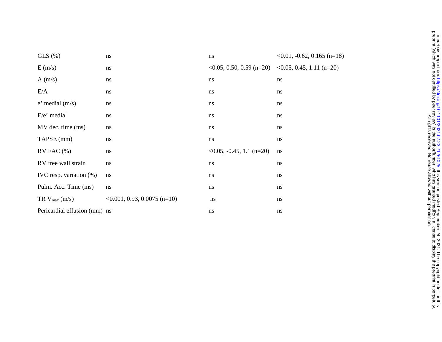| $GLS(\%)$                    | ns                                | ns                                                                                  | $\langle 0.01, -0.62, 0.165 \rangle$ (n=18) |
|------------------------------|-----------------------------------|-------------------------------------------------------------------------------------|---------------------------------------------|
| E(m/s)                       | ns                                | $\langle 0.05, 0.50, 0.59 \rangle$ (n=20) $\langle 0.05, 0.45, 1.11 \rangle$ (n=20) |                                             |
| A(m/s)                       | ns                                | ns                                                                                  | ns                                          |
| E/A                          | ns                                | ns                                                                                  | ns                                          |
| $e'$ medial $(m/s)$          | ns                                | ns                                                                                  | ns                                          |
| $E/e'$ medial                | ns                                | ns                                                                                  | ns                                          |
| MV dec. time (ms)            | ns                                | ns                                                                                  | ns                                          |
| TAPSE (mm)                   | ns                                | ns                                                                                  | ns                                          |
| $RV$ FAC $(\% )$             | ns                                | $\langle 0.05, -0.45, 1.1 \rangle$ (n=20)                                           | ns                                          |
| RV free wall strain          | ns                                | ns                                                                                  | ns                                          |
| IVC resp. variation (%)      | ns                                | ns                                                                                  | ns                                          |
| Pulm. Acc. Time (ms)         | $\rm ns$                          | ns                                                                                  | ns                                          |
| $TR V_{max}(m/s)$            | $\leq 0.001, 0.93, 0.0075$ (n=10) | ns                                                                                  | ns                                          |
| Pericardial effusion (mm) ns |                                   | ns                                                                                  | ns                                          |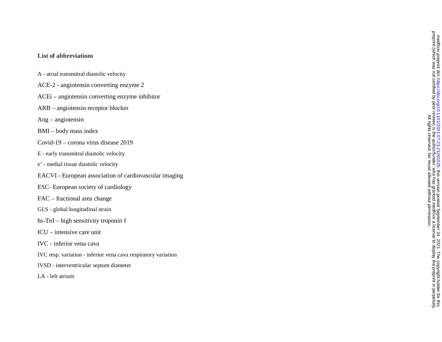## **List of abbreviations**

- A atrial transmitral diastolic velocity
- ACE-2 angiotensin converting enzyme 2
- ACEi angiotensin converting enzyme inhibitor
- ARB angiotensin receptor blocker
- Ang angiotensin
- BMI body mass index
- Covid-19 corona virus disease 2019
- E early transmitral diastolic velocity
- <sup>e</sup>' medial tissue diastolic velocity
- EACVI European association of cardiovascular imaging
- ESC- European society of cardiology
- FAC fractional area change
- GLS global longitudinal strain
- hs-TnI high sensitivity troponin I
- ICU intensive care unit
- IVC inferior vena cava
- IVC resp. variation inferior vena cava respiratory variation
- IVSD interventricular septum diameter
- LA left atrium